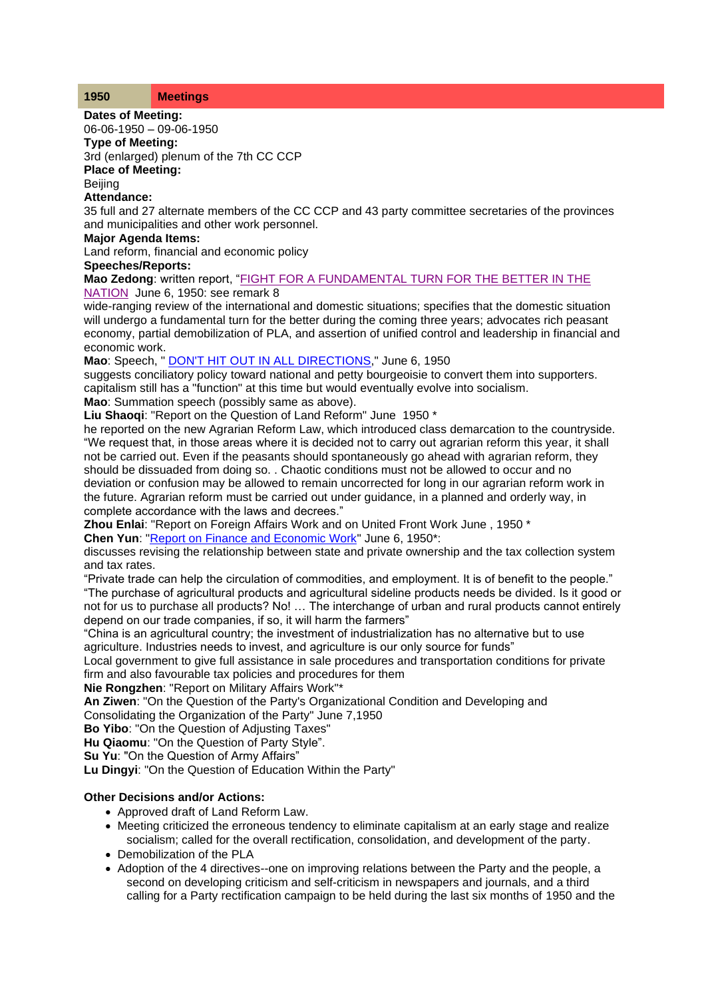#### **1950 Meetings**

**Dates of Meeting:**

06-06-1950 – 09-06-1950

# **Type of Meeting:**

3rd (enlarged) plenum of the 7th CC CCP

# **Place of Meeting:**

**Beiling** 

## **Attendance:**

35 full and 27 alternate members of the CC CCP and 43 party committee secretaries of the provinces and municipalities and other work personnel.

#### **Major Agenda Items:**

Land reform, financial and economic policy

**Speeches/Reports:**

**Mao Zedong**: written report, ["FIGHT FOR A FUNDAMENTAL TURN FOR THE BETTER IN THE](http://www.commonprogram.science/documents/FIGHT%20FOR%20A%20FUNDAMENTAL%20TURN%20FOR%20THE%20BETTER%20IN%20THE%20NATION.pdf)  [NATION](http://www.commonprogram.science/documents/FIGHT%20FOR%20A%20FUNDAMENTAL%20TURN%20FOR%20THE%20BETTER%20IN%20THE%20NATION.pdf) June 6, 1950: see remark 8

wide-ranging review of the international and domestic situations; specifies that the domestic situation will undergo a fundamental turn for the better during the coming three years; advocates rich peasant economy, partial demobilization of PLA, and assertion of unified control and leadership in financial and economic work.

**Mao**: Speech, " [DON'T HIT OUT IN ALL DIRECTIONS,](http://www.commonprogram.science/documents/DON)" June 6, 1950

suggests conciliatory policy toward national and petty bourgeoisie to convert them into supporters. capitalism still has a "function" at this time but would eventually evolve into socialism.

**Mao**: Summation speech (possibly same as above).

**Liu Shaoqi**: "Report on the Question of Land Reform" June 1950 \*

he reported on the new Agrarian Reform Law, which introduced class demarcation to the countryside. "We request that, in those areas where it is decided not to carry out agrarian reform this year, it shall not be carried out. Even if the peasants should spontaneously go ahead with agrarian reform, they should be dissuaded from doing so. . Chaotic conditions must not be allowed to occur and no deviation or confusion may be allowed to remain uncorrected for long in our agrarian reform work in the future. Agrarian reform must be carried out under guidance, in a planned and orderly way, in complete accordance with the laws and decrees."

**Zhou Enlai**: "Report on Foreign Affairs Work and on United Front Work June , 1950 \*

**Chen Yun**: ["Report on Finance and Economic Work"](http://www.commonprogram.science/documents/readjusting%20the%20relations%20between%20public%20and%20private%20sectors.pdf) June 6, 1950\*:

discusses revising the relationship between state and private ownership and the tax collection system and tax rates.

"Private trade can help the circulation of commodities, and employment. It is of benefit to the people." "The purchase of agricultural products and agricultural sideline products needs be divided. Is it good or not for us to purchase all products? No! … The interchange of urban and rural products cannot entirely depend on our trade companies, if so, it will harm the farmers"

"China is an agricultural country; the investment of industrialization has no alternative but to use agriculture. Industries needs to invest, and agriculture is our only source for funds"

Local government to give full assistance in sale procedures and transportation conditions for private firm and also favourable tax policies and procedures for them

### **Nie Rongzhen**: "Report on Military Affairs Work"\*

**An Ziwen**: "On the Question of the Party's Organizational Condition and Developing and

Consolidating the Organization of the Party" June 7,1950

**Bo Yibo**: "On the Question of Adjusting Taxes"

**Hu Qiaomu**: "On the Question of Party Style".

**Su Yu**: "On the Question of Army Affairs"

**Lu Dingyi**: "On the Question of Education Within the Party"

### **Other Decisions and/or Actions:**

- Approved draft of Land Reform Law.
- Meeting criticized the erroneous tendency to eliminate capitalism at an early stage and realize socialism; called for the overall rectification, consolidation, and development of the party.
- Demobilization of the PLA
- Adoption of the 4 directives--one on improving relations between the Party and the people, a second on developing criticism and self-criticism in newspapers and journals, and a third calling for a Party rectification campaign to be held during the last six months of 1950 and the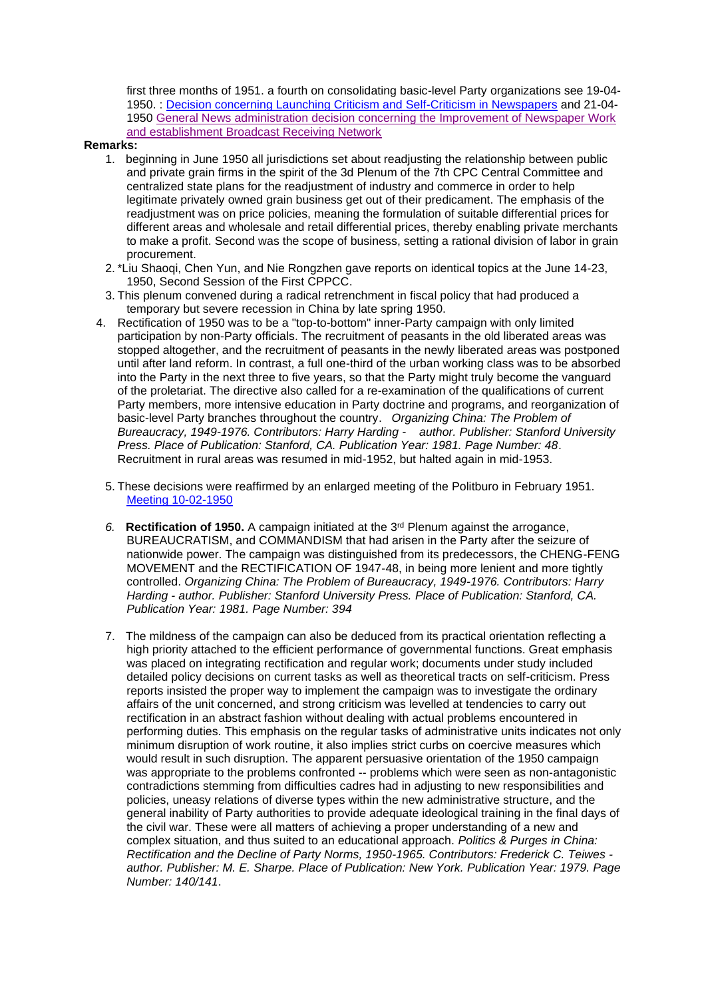first three months of 1951. a fourth on consolidating basic-level Party organizations see 19-04- 1950. : [Decision concerning Launching Criticism and Self-Criticism in Newspapers](http://www.commonprogram.science/documents/Decision%20concerning%20Launching%20Criticism%20and%20Self-Criticism%20in%20Newspapers.pdf) and 21-04- 1950 [General News administration decision concerning the Improvement of Newspaper Work](http://www.commonprogram.science/documents/General%20News%20administration%20decision%20concerning%20the%20Improvement%20of%20Newspaper%20Work%20.pdf)  and [establishment Broadcast Receiving Network](http://www.commonprogram.science/documents/General%20News%20administration%20decision%20concerning%20the%20Improvement%20of%20Newspaper%20Work%20.pdf)

#### **Remarks:**

- 1. beginning in June 1950 all jurisdictions set about readjusting the relationship between public and private grain firms in the spirit of the 3d Plenum of the 7th CPC Central Committee and centralized state plans for the readjustment of industry and commerce in order to help legitimate privately owned grain business get out of their predicament. The emphasis of the readjustment was on price policies, meaning the formulation of suitable differential prices for different areas and wholesale and retail differential prices, thereby enabling private merchants to make a profit. Second was the scope of business, setting a rational division of labor in grain procurement.
- 2. \*Liu Shaoqi, Chen Yun, and Nie Rongzhen gave reports on identical topics at the June 14-23, 1950, Second Session of the First CPPCC.
- 3. This plenum convened during a radical retrenchment in fiscal policy that had produced a temporary but severe recession in China by late spring 1950.
- 4. Rectification of 1950 was to be a "top-to-bottom" inner-Party campaign with only limited participation by non-Party officials. The recruitment of peasants in the old liberated areas was stopped altogether, and the recruitment of peasants in the newly liberated areas was postponed until after land reform. In contrast, a full one-third of the urban working class was to be absorbed into the Party in the next three to five years, so that the Party might truly become the vanguard of the proletariat. The directive also called for a re-examination of the qualifications of current Party members, more intensive education in Party doctrine and programs, and reorganization of basic-level Party branches throughout the country. *Organizing China: The Problem of Bureaucracy, 1949-1976. Contributors: Harry Harding - author. Publisher: Stanford University Press. Place of Publication: Stanford, CA. Publication Year: 1981. Page Number: 48*. Recruitment in rural areas was resumed in mid-1952, but halted again in mid-1953.
	- 5. These decisions were reaffirmed by an enlarged meeting of the Politburo in February 1951. [Meeting 10-02-1950](http://www.commonprogram.science/meetings/)
	- *6.* **Rectification of 1950.** A campaign initiated at the 3rd Plenum against the arrogance, BUREAUCRATISM, and COMMANDISM that had arisen in the Party after the seizure of nationwide power. The campaign was distinguished from its predecessors, the CHENG-FENG MOVEMENT and the RECTIFICATION OF 1947-48, in being more lenient and more tightly controlled. *Organizing China: The Problem of Bureaucracy, 1949-1976. Contributors: Harry Harding - author. Publisher: Stanford University Press. Place of Publication: Stanford, CA. Publication Year: 1981. Page Number: 394*
	- 7. The mildness of the campaign can also be deduced from its practical orientation reflecting a high priority attached to the efficient performance of governmental functions. Great emphasis was placed on integrating rectification and regular work; documents under study included detailed policy decisions on current tasks as well as theoretical tracts on self-criticism. Press reports insisted the proper way to implement the campaign was to investigate the ordinary affairs of the unit concerned, and strong criticism was levelled at tendencies to carry out rectification in an abstract fashion without dealing with actual problems encountered in performing duties. This emphasis on the regular tasks of administrative units indicates not only minimum disruption of work routine, it also implies strict curbs on coercive measures which would result in such disruption. The apparent persuasive orientation of the 1950 campaign was appropriate to the problems confronted -- problems which were seen as non-antagonistic contradictions stemming from difficulties cadres had in adjusting to new responsibilities and policies, uneasy relations of diverse types within the new administrative structure, and the general inability of Party authorities to provide adequate ideological training in the final days of the civil war. These were all matters of achieving a proper understanding of a new and complex situation, and thus suited to an educational approach. *Politics & Purges in China: Rectification and the Decline of Party Norms, 1950-1965. Contributors: Frederick C. Teiwes author. Publisher: M. E. Sharpe. Place of Publication: New York. Publication Year: 1979. Page Number: 140/141*.